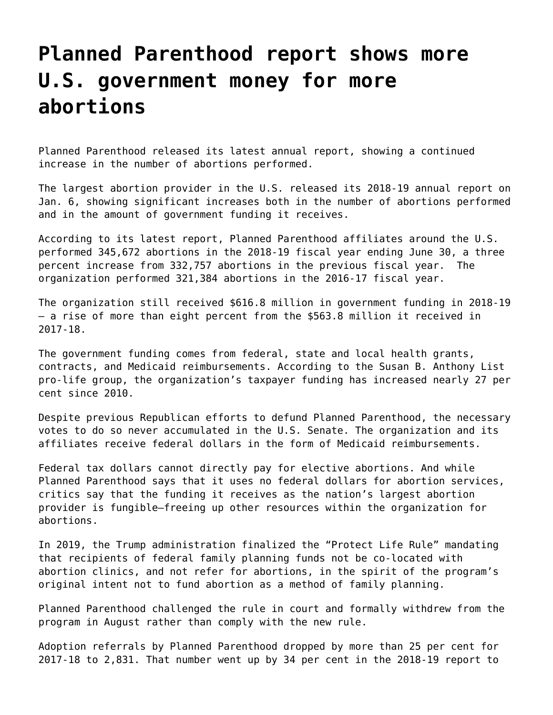## **[Planned Parenthood report shows more](https://grandinmedia.ca/planned-parenthood-report-shows-more-u-s-government-money-for-more-abortions/) [U.S. government money for more](https://grandinmedia.ca/planned-parenthood-report-shows-more-u-s-government-money-for-more-abortions/) [abortions](https://grandinmedia.ca/planned-parenthood-report-shows-more-u-s-government-money-for-more-abortions/)**

Planned Parenthood released its latest annual report, showing a continued increase in the number of abortions performed.

The largest abortion provider in the U.S. released its 2018-19 annual report on Jan. 6, showing significant increases both in the number of abortions performed and in the amount of government funding it receives.

According to its latest report, Planned Parenthood affiliates around the U.S. performed 345,672 abortions in the 2018-19 fiscal year ending June 30, a three percent increase from 332,757 abortions in the previous fiscal year. The organization performed 321,384 abortions in the 2016-17 fiscal year.

The organization still received \$616.8 million in government funding in 2018-19 — a rise of more than eight percent from the \$563.8 million it received in 2017-18.

The government funding comes from federal, state and local health grants, contracts, and Medicaid reimbursements. According to the Susan B. Anthony List pro-life group, the organization's taxpayer funding has increased nearly 27 per cent since 2010.

Despite previous Republican efforts to defund Planned Parenthood, the necessary votes to do so never accumulated in the U.S. Senate. The organization and its affiliates receive federal dollars in the form of Medicaid reimbursements.

Federal tax dollars cannot directly pay for elective abortions. And while Planned Parenthood says that it uses no federal dollars for abortion services, critics say that the funding it receives as the nation's largest abortion provider is fungible—freeing up other resources within the organization for abortions.

In 2019, the Trump administration finalized the "Protect Life Rule" mandating that recipients of federal family planning funds not be co-located with abortion clinics, and not refer for abortions, in the spirit of the program's original intent not to fund abortion as a method of family planning.

Planned Parenthood challenged the rule in court and formally withdrew from the program in August rather than comply with the new rule.

Adoption referrals by Planned Parenthood dropped by more than 25 per cent for 2017-18 to 2,831. That number went up by 34 per cent in the 2018-19 report to